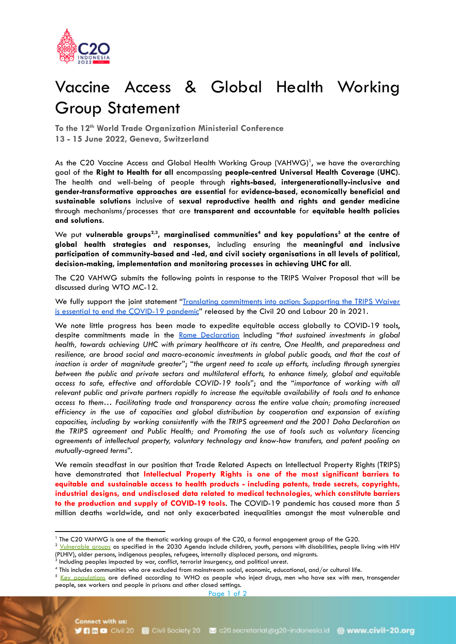

## Vaccine Access & Global Health Working Group Statement

**To the 12th World Trade Organization Ministerial Conference 13 - 15 June 2022, Geneva, Switzerland**

As the C20 Vaccine Access and Global Health Working Group (VAHWG)<sup>1</sup>, we have the overarching goal of the **Right to Health for all** encompassing **people-centred Universal Health Coverage (UHC)**. The health and well-being of people through **rights-based, intergenerationally-inclusive and gender-transformative approaches are essential** for **evidence-based, economically beneficial and sustainable solutions** inclusive of **sexual reproductive health and rights and gender medicine** through mechanisms/processes that are **transparent and accountable** for **equitable health policies and solutions**.

We put **vulnerable groups 2,3 , marginalised communities <sup>4</sup> and key populations <sup>5</sup> at the centre of global health strategies and responses**, including ensuring the **meaningful and inclusive participation of community-based and -led, and civil society organisations in all levels of political, decision-making, implementation and monitoring processes in achieving UHC for all**.

The C20 VAHWG submits the following points in response to the TRIPS Waiver Proposal that will be discussed during WTO MC-12.

We fully support the joint statement "Translating [commitments](https://civil-20.org/2021/wp-content/uploads/2021/02/C20-L20-TRIPS-statement.pdfhttps://civil-20.org/2021/wp-content/uploads/2021/02/C20-L20-TRIPS-statement.pdf) into action: Supporting the TRIPS Waiver is essential to end the [COVID-19](https://civil-20.org/2021/wp-content/uploads/2021/02/C20-L20-TRIPS-statement.pdfhttps://civil-20.org/2021/wp-content/uploads/2021/02/C20-L20-TRIPS-statement.pdf) pandemic" released by the Civil 20 and Labour 20 in 2021.

We note little progress has been made to expedite equitable access globally to COVID-19 tools, despite commitments made in the Rome [Declaration](https://global-health-summit.europa.eu/rome-declaration_en) including "*that sustained investments in global health, towards achieving UHC with primary healthcare at its centre, One Health, and preparedness and resilience, are broad social and macro-economic investments in global public goods, and that the cost of inaction is order of magnitude greater*"; "*the urgent need to scale up efforts, including through synergies between the public and private sectors and multilateral efforts, to enhance timely, global and equitable access to safe, effective and affordable COVID-19 tools*"; and the "*importance of working with all relevant public and private partners rapidly to increase the equitable availability of tools and to enhance access to them… Facilitating trade and transparency across the entire value chain; promoting increased efficiency in the use of capacities and global distribution by cooperation and expansion of existing capacities, including by working consistently with the TRIPS agreement and the 2001 Doha Declaration on the TRIPS agreement and Public Health; and Promoting the use of tools such as voluntary licencing agreements of intellectual property, voluntary technology and know-how transfers, and patent pooling on mutually-agreed terms*".

We remain steadfast in our position that Trade Related Aspects on Intellectual Property Rights (TRIPS) have demonstrated that **Intellectual Property Rights is one of the most significant barriers to equitable and sustainable access to health products - including patents, trade secrets, copyrights, industrial designs, and undisclosed data related to medical technologies, which constitute barriers to the production and supply of COVID-19 tools**. The COVID-19 pandemic has caused more than 5 million deaths worldwide, and not only exacerbated inequalities amongst the most vulnerable and

<sup>1</sup> The C20 VAHWG is one of the thematic working groups of the C20, a formal engagement group of the G20.

 $2$  [Vulnerable](https://unstats.un.org/sdgs/report/2016/leaving-no-one-behind) groups as specified in the 2030 Agenda include children, youth, persons with disabilities, people living with HIV (PLHIV), older persons, indigenous peoples, refugees, internally displaced persons, and migrants.

 $3$  Including peoples impacted by war, conflict, terrorist insurgency, and political unrest.

 $^4$  This includes communities who are excluded from mainstream social, economic, educational, and/or cultural life.

<sup>&</sup>lt;sup>5</sup> Key [populations](http://apps.who.int/iris/bitstream/10665/208825/1/9789241549684_eng.pdf) are defined according to WHO as people who inject drugs, men who have sex with men, transgender people, sex workers and people in prisons and other closed settings.